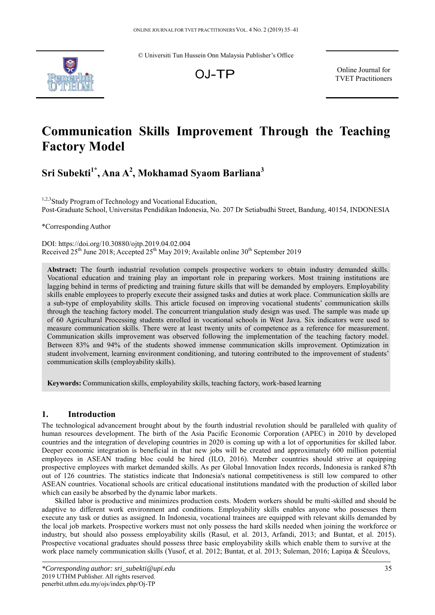© Universiti Tun Hussein Onn Malaysia Publisher's Office



OJ-TP

Online Journal for TVET Practitioners

# **Communication Skills Improvement Through the Teaching Factory Model**

# **Sri Subekti1\*, Ana A2 , Mokhamad Syaom Barliana<sup>3</sup>**

<sup>1,2,3</sup>Study Program of Technology and Vocational Education, Post-Graduate School, Universitas Pendidikan Indonesia, No. 207 Dr Setiabudhi Street, Bandung, 40154, INDONESIA

\*Corresponding Author

DOI: https://doi.org/10.30880/ojtp.2019.04.02.004 Received  $25<sup>th</sup>$  June 2018; Accepted  $25<sup>th</sup>$  May 2019; Available online 30<sup>th</sup> September 2019

**Abstract:** The fourth industrial revolution compels prospective workers to obtain industry demanded skills. Vocational education and training play an important role in preparing workers. Most training institutions are lagging behind in terms of predicting and training future skills that will be demanded by employers. Employability skills enable employees to properly execute their assigned tasks and duties at work place. Communication skills are a sub-type of employability skills. This article focused on improving vocational students' communication skills through the teaching factory model. The concurrent triangulation study design was used. The sample was made up of 60 Agricultural Processing students enrolled in vocational schools in West Java. Six indicators were used to measure communication skills. There were at least twenty units of competence as a reference for measurement. Communication skills improvement was observed following the implementation of the teaching factory model. Between 83% and 94% of the students showed immense communication skills improvement. Optimization in student involvement, learning environment conditioning, and tutoring contributed to the improvement of students' communication skills (employability skills).

**Keywords:** Communication skills, employability skills, teaching factory, work-based learning

# **1. Introduction**

The technological advancement brought about by the fourth industrial revolution should be paralleled with quality of human resources development. The birth of the Asia Pacific Economic Corporation (APEC) in 2010 by developed countries and the integration of developing countries in 2020 is coming up with a lot of opportunities for skilled labor. Deeper economic integration is beneficial in that new jobs will be created and approximately 600 million potential employees in ASEAN trading bloc could be hired (ILO, 2016). Member countries should strive at equipping prospective employees with market demanded skills. As per Global Innovation Index records, Indonesia is ranked 87th out of 126 countries. The statistics indicate that Indonesia's national competitiveness is still low compared to other ASEAN countries. Vocational schools are critical educational institutions mandated with the production of skilled labor which can easily be absorbed by the dynamic labor markets.

Skilled labor is productive and minimizes production costs. Modern workers should be multi-skilled and should be adaptive to different work environment and conditions. Employability skills enables anyone who possesses them execute any task or duties as assigned. In Indonesia, vocational trainees are equipped with relevant skills demanded by the local job markets. Prospective workers must not only possess the hard skills needed when joining the workforce or industry, but should also possess employability skills (Rasul, et al. 2013, Arfandi, 2013; and Buntat, et al. 2015). Prospective vocational graduates should possess three basic employability skills which enable them to survive at the work place namely communication skills (Yusof, et al. 2012; Buntat, et al. 2013; Suleman, 2016; Lapiņa & Ščeulovs,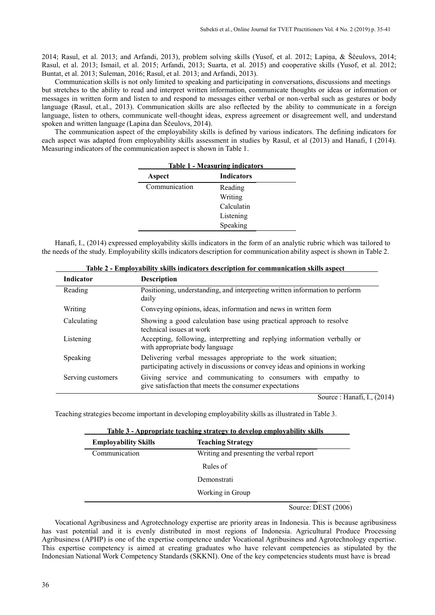2014; Rasul, et al. 2013; and Arfandi, 2013), problem solving skills (Yusof, et al. 2012; Lapiņa, & Ščeulovs, 2014; Rasul, et al. 2013; Ismail, et al. 2015; Arfandi, 2013; Suarta, et al. 2015) and cooperative skills (Yusof, et al. 2012; Buntat, et al. 2013; Suleman, 2016; Rasul, et al. 2013; and Arfandi, 2013).

Communication skills is not only limited to speaking and participating in conversations, discussions and meetings but stretches to the ability to read and interpret written information, communicate thoughts or ideas or information or messages in written form and listen to and respond to messages either verbal or non-verbal such as gestures or body language (Rasul, et.al., 2013). Communication skills are also reflected by the ability to communicate in a foreign language, listen to others, communicate well-thought ideas, express agreement or disagreement well, and understand spoken and written language (Lapina dan Ščeulovs, 2014).

The communication aspect of the employability skills is defined by various indicators. The defining indicators for each aspect was adapted from employability skills assessment in studies by Rasul, et al (2013) and Hanafi, I (2014). Measuring indicators of the communication aspect is shown in Table 1.

| <b>Table 1 - Measuring indicators</b> |                   |  |
|---------------------------------------|-------------------|--|
| Aspect                                | <b>Indicators</b> |  |
| Communication                         | Reading           |  |
|                                       | Writing           |  |
|                                       | Calculatin        |  |
|                                       | Listening         |  |
|                                       | Speaking          |  |

Hanafi, I., (2014) expressed employability skills indicators in the form of an analytic rubric which was tailored to the needs of the study. Employability skills indicators description for communication ability aspect is shown in Table 2.

| <b>Indicator</b>  | <b>Description</b>                                                                                                                             |
|-------------------|------------------------------------------------------------------------------------------------------------------------------------------------|
| Reading           | Positioning, understanding, and interpreting written information to perform<br>daily                                                           |
| Writing           | Conveying opinions, ideas, information and news in written form                                                                                |
| Calculating       | Showing a good calculation base using practical approach to resolve<br>technical issues at work                                                |
| Listening         | Accepting, following, interpretting and replying information verbally or<br>with appropriate body language                                     |
| Speaking          | Delivering verbal messages appropriate to the work situation;<br>participating actively in discussions or convey ideas and opinions in working |
| Serving customers | Giving service and communicating to consumers with empathy to<br>give satisfaction that meets the consumer expectations                        |

| Table 2 - Emplovability skills indicators description for communication skills aspect |  |
|---------------------------------------------------------------------------------------|--|
|                                                                                       |  |

Source : Hanafi, I., (2014)

Teaching strategies become important in developing employability skills as illustrated in Table 3.

| Table 3 - Appropriate teaching strategy to develop employability skills |                                          |  |
|-------------------------------------------------------------------------|------------------------------------------|--|
| <b>Employability Skills</b>                                             | <b>Teaching Strategy</b>                 |  |
| Communication                                                           | Writing and presenting the verbal report |  |
|                                                                         | Rules of                                 |  |
|                                                                         | Demonstrati                              |  |
|                                                                         | Working in Group                         |  |

Source: DEST (2006)

Vocational Agribusiness and Agrotechnology expertise are priority areas in Indonesia. This is because agribusiness has vast potential and it is evenly distributed in most regions of Indonesia. Agricultural Produce Processing Agribusiness (APHP) is one of the expertise competence under Vocational Agribusiness and Agrotechnology expertise. This expertise competency is aimed at creating graduates who have relevant competencies as stipulated by the Indonesian National Work Competency Standards (SKKNI). One of the key competencies students must have is bread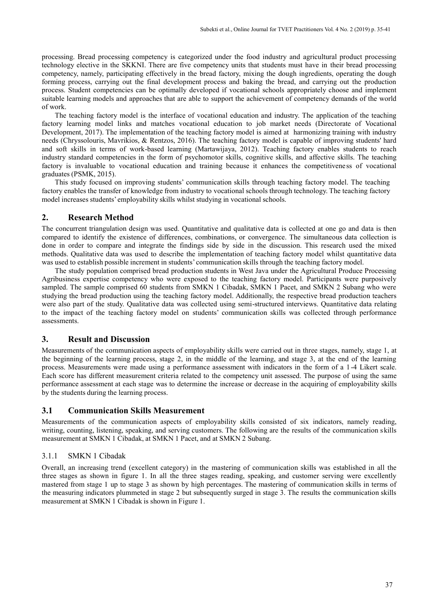processing. Bread processing competency is categorized under the food industry and agricultural product processing technology elective in the SKKNI. There are five competency units that students must have in their bread processing competency, namely, participating effectively in the bread factory, mixing the dough ingredients, operating the dough forming process, carrying out the final development process and baking the bread, and carrying out the production process. Student competencies can be optimally developed if vocational schools appropriately choose and implement suitable learning models and approaches that are able to support the achievement of competency demands of the world of work.

The teaching factory model is the interface of vocational education and industry. The application of the teaching factory learning model links and matches vocational education to job market needs (Directorate of Vocational Development, 2017). The implementation of the teaching factory model is aimed at harmonizing training with industry needs (Chryssolouris, Mavrikios, & Rentzos, 2016). The teaching factory model is capable of improving students' hard and soft skills in terms of work-based learning (Martawijaya, 2012). Teaching factory enables students to reach industry standard competencies in the form of psychomotor skills, cognitive skills, and affective skills. The teaching factory is invaluable to vocational education and training because it enhances the competitiveness of vocational graduates (PSMK, 2015).

This study focused on improving students' communication skills through teaching factory model. The teaching factory enables the transfer of knowledge from industry to vocational schools through technology. The teaching factory model increases students' employability skills whilst studying in vocational schools.

# **2. Research Method**

The concurrent triangulation design was used. Quantitative and qualitative data is collected at one go and data is then compared to identify the existence of differences, combinations, or convergence. The simultaneous data collection is done in order to compare and integrate the findings side by side in the discussion. This research used the mixed methods. Qualitative data was used to describe the implementation of teaching factory model whilst quantitative data was used to establish possible increment in students' communication skills through the teaching factory model.

The study population comprised bread production students in West Java under the Agricultural Produce Processing Agribusiness expertise competency who were exposed to the teaching factory model. Participants were purposively sampled. The sample comprised 60 students from SMKN 1 Cibadak, SMKN 1 Pacet, and SMKN 2 Subang who were studying the bread production using the teaching factory model. Additionally, the respective bread production teachers were also part of the study. Qualitative data was collected using semi-structured interviews. Quantitative data relating to the impact of the teaching factory model on students' communication skills was collected through performance assessments.

# **3. Result and Discussion**

Measurements of the communication aspects of employability skills were carried out in three stages, namely, stage 1, at the beginning of the learning process, stage 2, in the middle of the learning, and stage 3, at the end of the learning process. Measurements were made using a performance assessment with indicators in the form of a 1 -4 Likert scale. Each score has different measurement criteria related to the competency unit assessed. The purpose of using the same performance assessment at each stage was to determine the increase or decrease in the acquiring of employability skills by the students during the learning process.

# **3.1 Communication Skills Measurement**

Measurements of the communication aspects of employability skills consisted of six indicators, namely reading, writing, counting, listening, speaking, and serving customers. The following are the results of the communication skills measurement at SMKN 1 Cibadak, at SMKN 1 Pacet, and at SMKN 2 Subang.

#### 3.1.1 SMKN 1 Cibadak

Overall, an increasing trend (excellent category) in the mastering of communication skills was established in all the three stages as shown in figure 1. In all the three stages reading, speaking, and customer serving were excellently mastered from stage 1 up to stage 3 as shown by high percentages. The mastering of communication skills in terms of the measuring indicators plummeted in stage 2 but subsequently surged in stage 3. The results the communication skills measurement at SMKN 1 Cibadak is shown in Figure 1.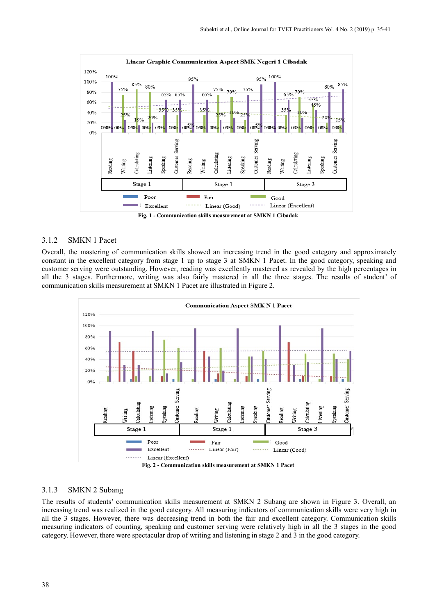

#### 3.1.2 SMKN 1 Pacet

Overall, the mastering of communication skills showed an increasing trend in the good category and approximately constant in the excellent category from stage 1 up to stage 3 at SMKN 1 Pacet. In the good category, speaking and customer serving were outstanding. However, reading was excellently mastered as revealed by the high percentages in all the 3 stages. Furthermore, writing was also fairly mastered in all the three stages. The results of student' of communication skills measurement at SMKN 1 Pacet are illustrated in Figure 2.



#### 3.1.3 SMKN 2 Subang

The results of students' communication skills measurement at SMKN 2 Subang are shown in Figure 3. Overall, an increasing trend was realized in the good category. All measuring indicators of communication skills were very high in all the 3 stages. However, there was decreasing trend in both the fair and excellent category. Communication skills measuring indicators of counting, speaking and customer serving were relatively high in all the 3 stages in the good category. However, there were spectacular drop of writing and listening in stage 2 and 3 in the good category.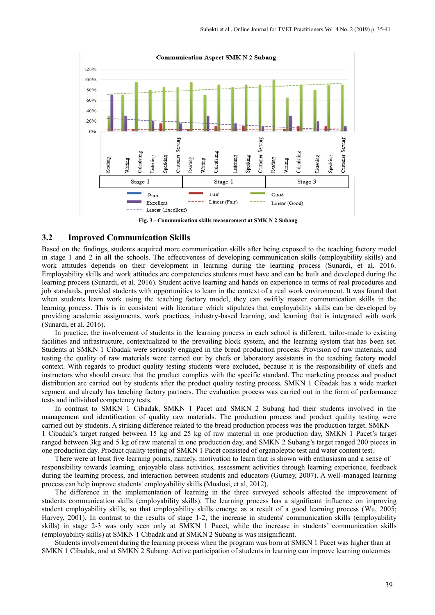

**Fig. 3 - Communication skills measurement at SMK N 2 Subang**

## **3.2 Improved Communication Skills**

Based on the findings, students acquired more communication skills after being exposed to the teaching factory model in stage 1 and 2 in all the schools. The effectiveness of developing communication skills (employability skills) and work attitudes depends on their development in learning during the learning process (Sunardi, et al. 2016. Employability skills and work attitudes are competencies students must have and can be built and developed during the learning process (Sunardi, et al. 2016). Student active learning and hands on experience in terms of real procedures and job standards, provided students with opportunities to learn in the context of a real work environment. It was found that when students learn work using the teaching factory model, they can swiftly master communication skills in the learning process. This is in consistent with literature which stipulates that employability skills can be developed by providing academic assignments, work practices, industry-based learning, and learning that is integrated with work (Sunardi, et al. 2016).

In practice, the involvement of students in the learning process in each school is different, tailor-made to existing facilities and infrastructure, contextualized to the prevailing block system, and the learning system that has been set. Students at SMKN 1 Cibadak were seriously engaged in the bread production process. Provision of raw materials, and testing the quality of raw materials were carried out by chefs or laboratory assistants in the teaching factory model context. With regards to product quality testing students were excluded, because it is the responsibility of chefs and instructors who should ensure that the product complies with the specific standard. The marketing process and product distribution are carried out by students after the product quality testing process. SMKN 1 Cibadak has a wide market segment and already has teaching factory partners. The evaluation process was carried out in the form of performance tests and individual competency tests.

In contrast to SMKN 1 Cibadak, SMKN 1 Pacet and SMKN 2 Subang had their students involved in the management and identification of quality raw materials. The production process and product quality testing were carried out by students. A striking difference related to the bread production process was the production target. SMKN 1 Cibadak's target ranged between 15 kg and 25 kg of raw material in one production day, SMKN 1 Pacet's target ranged between 3kg and 5 kg of raw material in one production day, and SMKN 2 Subang's target ranged 200 pieces in one production day. Product quality testing of SMKN 1 Pacet consisted of organoleptic test and water content test.

There were at least five learning points, namely, motivation to learn that is shown with enthusiasm and a sense of responsibility towards learning, enjoyable class activities, assessment activities through learning experience, feedback during the learning process, and interaction between students and educators (Gurney, 2007). A well-managed learning process can help improve students' employability skills (Moalosi, et al, 2012).

The difference in the implementation of learning in the three surveyed schools affected the improvement of students communication skills (employability skills). The learning process has a significant influence on improving student employability skills, so that employability skills emerge as a result of a good learning process (Wu, 2005; Harvey, 2001). In contrast to the results of stage 1-2, the increase in students' communication skills (employability skills) in stage 2-3 was only seen only at SMKN 1 Pacet, while the increase in students' communication skills (employability skills) at SMKN 1 Cibadak and at SMKN 2 Subang is was insignificant.

Students involvement during the learning process when the program was born at SMKN 1 Pacet was higher than at SMKN 1 Cibadak, and at SMKN 2 Subang. Active participation of students in learning can improve learning outcomes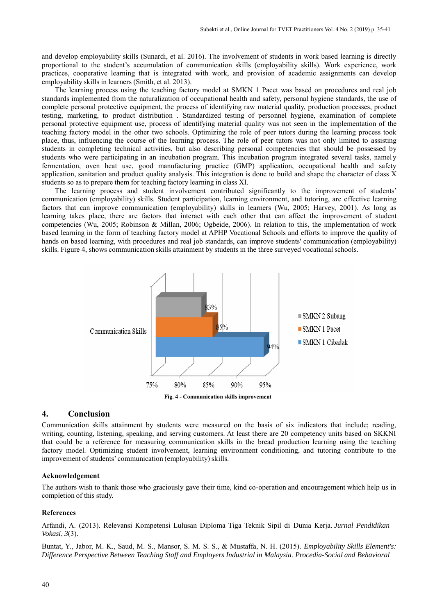and develop employability skills (Sunardi, et al. 2016). The involvement of students in work based learning is directly proportional to the student's accumulation of communication skills (employability skills). Work experience, work practices, cooperative learning that is integrated with work, and provision of academic assignments can develop employability skills in learners (Smith, et al. 2013).

The learning process using the teaching factory model at SMKN 1 Pacet was based on procedures and real job standards implemented from the naturalization of occupational health and safety, personal hygiene standards, the use of complete personal protective equipment, the process of identifying raw material quality, production processes, product testing, marketing, to product distribution . Standardized testing of personnel hygiene, examination of complete personal protective equipment use, process of identifying material quality was not seen in the implementation of the teaching factory model in the other two schools. Optimizing the role of peer tutors during the learning process took place, thus, influencing the course of the learning process. The role of peer tutors was not only limited to assisting students in completing technical activities, but also describing personal competencies that should be possessed by students who were participating in an incubation program. This incubation program integrated several tasks, namely fermentation, oven heat use, good manufacturing practice (GMP) application, occupational health and safety application, sanitation and product quality analysis. This integration is done to build and shape the character of class X students so as to prepare them for teaching factory learning in class XI.

The learning process and student involvement contributed significantly to the improvement of students' communication (employability) skills. Student participation, learning environment, and tutoring, are effective learning factors that can improve communication (employability) skills in learners (Wu, 2005; Harvey, 2001). As long as learning takes place, there are factors that interact with each other that can affect the improvement of student competencies (Wu, 2005; Robinson & Millan, 2006; Ogbeide, 2006). In relation to this, the implementation of work based learning in the form of teaching factory model at APHP Vocational Schools and efforts to improve the quality of hands on based learning, with procedures and real job standards, can improve students' communication (employability) skills. Figure 4, shows communication skills attainment by students in the three surveyed vocational schools.



#### **4. Conclusion**

Communication skills attainment by students were measured on the basis of six indicators that include; reading, writing, counting, listening, speaking, and serving customers. At least there are 20 competency units based on SKKNI that could be a reference for measuring communication skills in the bread production learning using the teaching factory model. Optimizing student involvement, learning environment conditioning, and tutoring contribute to the improvement of students' communication (employability) skills.

#### **Acknowledgement**

The authors wish to thank those who graciously gave their time, kind co-operation and encouragement which help us in completion of this study.

#### **References**

Arfandi, A. (2013). Relevansi Kompetensi Lulusan Diploma Tiga Teknik Sipil di Dunia Kerja. *Jurnal Pendidikan Vokasi*, *3*(3).

Buntat, Y., Jabor, M. K., Saud, M. S., Mansor, S. M. S. S., & Mustaffa, N. H. (2015). *Employability Skills Element's: Difference Perspective Between Teaching Staff and Employers Industrial in Malaysia*. *Procedia-Social and Behavioral*